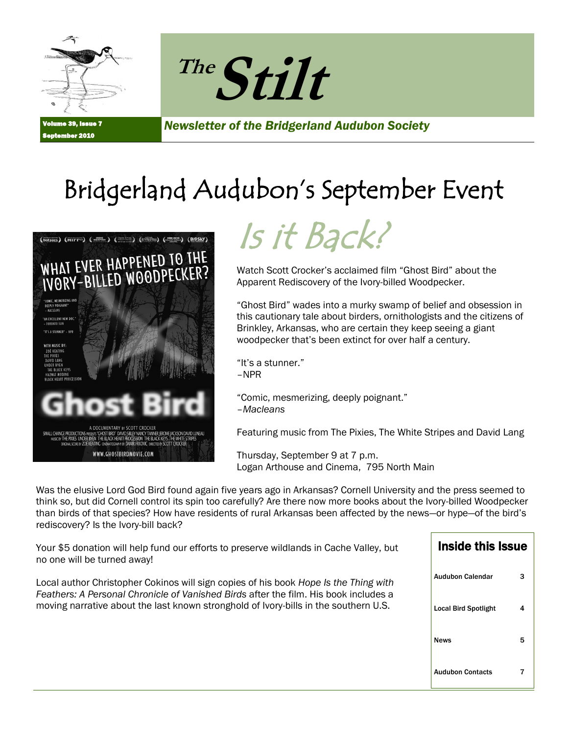



**39, Issue 7** r 2010

*Newsletter of the Bridgerland Audubon Society*

## Bridgerland Audubon's September Event





Watch Scott Crocker's acclaimed film "Ghost Bird" about the Apparent Rediscovery of the Ivory-billed Woodpecker.

"Ghost Bird" wades into a murky swamp of belief and obsession in this cautionary tale about birders, ornithologists and the citizens of Brinkley, Arkansas, who are certain they keep seeing a giant woodpecker that's been extinct for over half a century.

"It's a stunner." –NPR

"Comic, mesmerizing, deeply poignant." –*Macleans*

Featuring music from The Pixies, The White Stripes and David Lang

Thursday, September 9 at 7 p.m. Logan Arthouse and Cinema, 795 North Main

Was the elusive Lord God Bird found again five years ago in Arkansas? Cornell University and the press seemed to think so, but did Cornell control its spin too carefully? Are there now more books about the Ivory-billed Woodpecker than birds of that species? How have residents of rural Arkansas been affected by the news—or hype—of the bird's rediscovery? Is the Ivory-bill back?

| Your \$5 donation will help fund our efforts to preserve wildlands in Cache Valley, but<br>no one will be turned away!                                                                                                                                               | Inside this Issue           |   |
|----------------------------------------------------------------------------------------------------------------------------------------------------------------------------------------------------------------------------------------------------------------------|-----------------------------|---|
| Local author Christopher Cokinos will sign copies of his book Hope Is the Thing with<br>Feathers: A Personal Chronicle of Vanished Birds after the film. His book includes a<br>moving narrative about the last known stronghold of Ivory-bills in the southern U.S. | <b>Audubon Calendar</b>     |   |
|                                                                                                                                                                                                                                                                      | <b>Local Bird Spotlight</b> |   |
|                                                                                                                                                                                                                                                                      | <b>News</b>                 | 5 |
|                                                                                                                                                                                                                                                                      | <b>Audubon Contacts</b>     |   |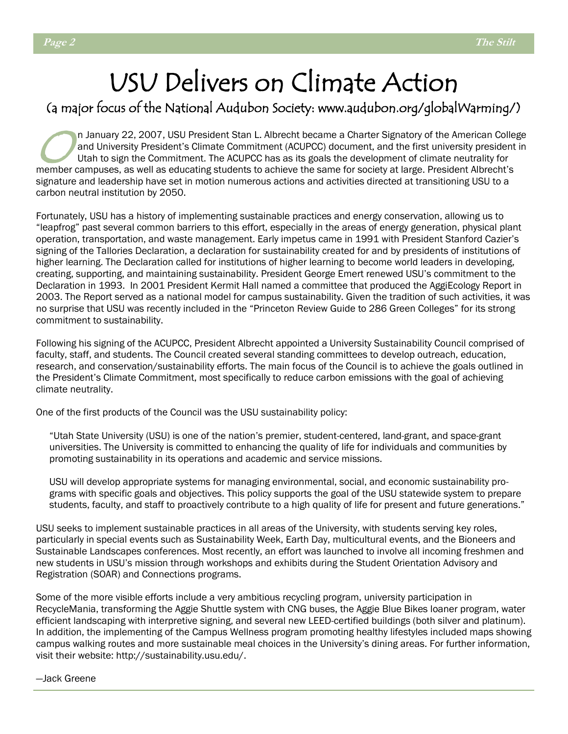## USU Delivers on Climate Action

### (a major focus of the National Audubon Society: www.audubon.org/globalWarming/)

 $\bigcirc_{\mathsf{u}}^{\mathsf{n}}$ n January 22, 2007, USU President Stan L. Albrecht became a Charter Signatory of the American College and University President's Climate Commitment (ACUPCC) document, and the first university president in Utah to sign the Commitment. The ACUPCC has as its goals the development of climate neutrality for member campuses, as well as educating students to achieve the same for society at large. President Albrecht's signature and leadership have set in motion numerous actions and activities directed at transitioning USU to a carbon neutral institution by 2050.

Fortunately, USU has a history of implementing sustainable practices and energy conservation, allowing us to ―leapfrog‖ past several common barriers to this effort, especially in the areas of energy generation, physical plant operation, transportation, and waste management. Early impetus came in 1991 with President Stanford Cazier's signing of the Tallories Declaration, a declaration for sustainability created for and by presidents of institutions of higher learning. The Declaration called for institutions of higher learning to become world leaders in developing, creating, supporting, and maintaining sustainability. President George Emert renewed USU's commitment to the Declaration in 1993. In 2001 President Kermit Hall named a committee that produced the AggiEcology Report in 2003. The Report served as a national model for campus sustainability. Given the tradition of such activities, it was no surprise that USU was recently included in the "Princeton Review Guide to 286 Green Colleges" for its strong commitment to sustainability.

Following his signing of the ACUPCC, President Albrecht appointed a University Sustainability Council comprised of faculty, staff, and students. The Council created several standing committees to develop outreach, education, research, and conservation/sustainability efforts. The main focus of the Council is to achieve the goals outlined in the President's Climate Commitment, most specifically to reduce carbon emissions with the goal of achieving climate neutrality.

One of the first products of the Council was the USU sustainability policy:

―Utah State University (USU) is one of the nation's premier, student-centered, land-grant, and space-grant universities. The University is committed to enhancing the quality of life for individuals and communities by promoting sustainability in its operations and academic and service missions.

USU will develop appropriate systems for managing environmental, social, and economic sustainability programs with specific goals and objectives. This policy supports the goal of the USU statewide system to prepare students, faculty, and staff to proactively contribute to a high quality of life for present and future generations."

USU seeks to implement sustainable practices in all areas of the University, with students serving key roles, particularly in special events such as Sustainability Week, Earth Day, multicultural events, and the Bioneers and Sustainable Landscapes conferences. Most recently, an effort was launched to involve all incoming freshmen and new students in USU's mission through workshops and exhibits during the Student Orientation Advisory and Registration (SOAR) and Connections programs.

Some of the more visible efforts include a very ambitious recycling program, university participation in RecycleMania, transforming the Aggie Shuttle system with CNG buses, the Aggie Blue Bikes loaner program, water efficient landscaping with interpretive signing, and several new LEED-certified buildings (both silver and platinum). In addition, the implementing of the Campus Wellness program promoting healthy lifestyles included maps showing campus walking routes and more sustainable meal choices in the University's dining areas. For further information, visit their website: http://sustainability.usu.edu/.

—Jack Greene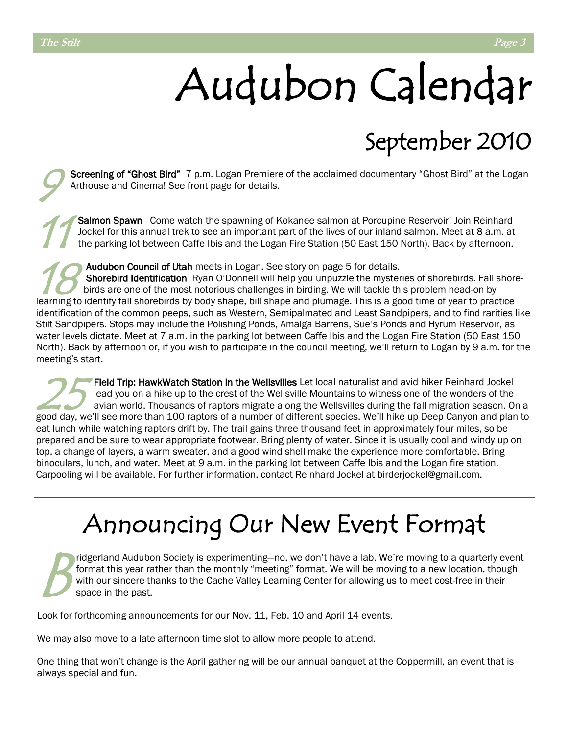# Audubon Calendar

## September 2010

9 Screening of "Ghost Bird" 7 p.m. Logan Premiere of the acclaimed documentary "Ghost Bird" at the Logan Arthouse and Cinema! See front page for details.

11 Salmon Spawn Come watch the spawning of Kokanee salmon at Porcupine Reservoir! Join Reinhard Jockel for this annual trek to see an important part of the lives of our inland salmon. Meet at 8 a.m. at the parking lot between Caffe Ibis and the Logan Fire Station (50 East 150 North). Back by afternoon.

Audubon Council of Utah meets in Logan. See story on page 5 for details.

18 Shorebird Identification Ryan O'Donnell will help you unpuzzle the mysteries of shorebirds. Fall shorebirds are one of the most notorious challenges in birding. We will tackle this problem head-on by learning to identify fall shorebirds by body shape, bill shape and plumage. This is a good time of year to practice identification of the common peeps, such as Western, Semipalmated and Least Sandpipers, and to find rarities like Stilt Sandpipers. Stops may include the Polishing Ponds, Amalga Barrens, Sue's Ponds and Hyrum Reservoir, as water levels dictate. Meet at 7 a.m. in the parking lot between Caffe Ibis and the Logan Fire Station (50 East 150 North). Back by afternoon or, if you wish to participate in the council meeting, we'll return to Logan by 9 a.m. for the meeting's start.

25 Field Trip: HawkWatch Station in the Wellsvilles Let local naturalist and avid hiker Reinhard Jockel lead you on a hike up to the crest of the Wellsville Mountains to witness one of the wonders of the avian world. Thousands of raptors migrate along the Wellsvilles during the fall migration season. On a good day, we'll see more than 100 raptors of a number of different species. We'll hike up Deep Canyon and plan to eat lunch while watching raptors drift by. The trail gains three thousand feet in approximately four miles, so be prepared and be sure to wear appropriate footwear. Bring plenty of water. Since it is usually cool and windy up on top, a change of layers, a warm sweater, and a good wind shell make the experience more comfortable. Bring binoculars, lunch, and water. Meet at 9 a.m. in the parking lot between Caffe Ibis and the Logan fire station. Carpooling will be available. For further information, contact Reinhard Jockel at birderjockel@gmail.com.

## Announcing Our New Event Format

 $B_{\scriptscriptstyle \sin}^{\scriptscriptstyle \operatorname{fic}}$ ridgerland Audubon Society is experimenting—no, we don't have a lab. We're moving to a quarterly event format this year rather than the monthly "meeting" format. We will be moving to a new location, though with our sincere thanks to the Cache Valley Learning Center for allowing us to meet cost-free in their space in the past.

Look for forthcoming announcements for our Nov. 11, Feb. 10 and April 14 events.

We may also move to a late afternoon time slot to allow more people to attend.

One thing that won't change is the April gathering will be our annual banquet at the Coppermill, an event that is always special and fun.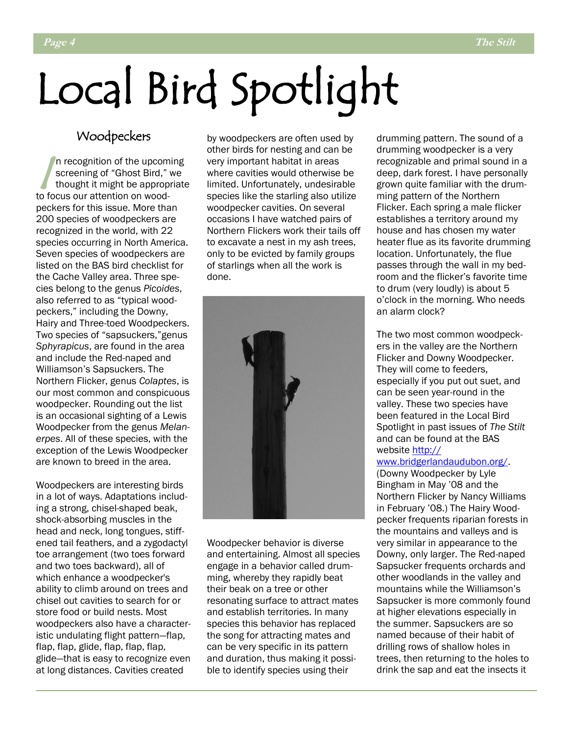# Local Bird Spotlight

### Woodpeckers

 $\sqrt{\frac{m}{t}}$ n recognition of the upcoming screening of "Ghost Bird," we thought it might be appropriate to focus our attention on woodpeckers for this issue. More than 200 species of woodpeckers are recognized in the world, with 22 species occurring in North America. Seven species of woodpeckers are listed on the BAS bird checklist for the Cache Valley area. Three species belong to the genus *Picoides*, also referred to as "typical woodpeckers," including the Downy, Hairy and Three-toed Woodpeckers. Two species of "sapsuckers," genus *Sphyrapicus*, are found in the area and include the Red-naped and Williamson's Sapsuckers. The Northern Flicker, genus *Colaptes*, is our most common and conspicuous woodpecker. Rounding out the list is an occasional sighting of a Lewis Woodpecker from the genus *Melanerpes*. All of these species, with the exception of the Lewis Woodpecker are known to breed in the area.

Woodpeckers are interesting birds in a lot of ways. Adaptations including a strong, chisel-shaped beak, shock-absorbing muscles in the head and neck, long tongues, stiffened tail feathers, and a zygodactyl toe arrangement (two toes forward and two toes backward), all of which enhance a woodpecker's ability to climb around on trees and chisel out cavities to search for or store food or build nests. Most woodpeckers also have a characteristic undulating flight pattern—flap, flap, flap, glide, flap, flap, flap, glide—that is easy to recognize even at long distances. Cavities created

by woodpeckers are often used by other birds for nesting and can be very important habitat in areas where cavities would otherwise be limited. Unfortunately, undesirable species like the starling also utilize woodpecker cavities. On several occasions I have watched pairs of Northern Flickers work their tails off to excavate a nest in my ash trees, only to be evicted by family groups of starlings when all the work is done.



Woodpecker behavior is diverse and entertaining. Almost all species engage in a behavior called drumming, whereby they rapidly beat their beak on a tree or other resonating surface to attract mates and establish territories. In many species this behavior has replaced the song for attracting mates and can be very specific in its pattern and duration, thus making it possible to identify species using their

drumming pattern. The sound of a drumming woodpecker is a very recognizable and primal sound in a deep, dark forest. I have personally grown quite familiar with the drumming pattern of the Northern Flicker. Each spring a male flicker establishes a territory around my house and has chosen my water heater flue as its favorite drumming location. Unfortunately, the flue passes through the wall in my bedroom and the flicker's favorite time to drum (very loudly) is about 5 o'clock in the morning. Who needs an alarm clock?

The two most common woodpeckers in the valley are the Northern Flicker and Downy Woodpecker. They will come to feeders, especially if you put out suet, and can be seen year-round in the valley. These two species have been featured in the Local Bird Spotlight in past issues of *The Stilt*  and can be found at the BAS website http://

### www.bridgerlandaudubon.org/.

(Downy Woodpecker by Lyle Bingham in May '08 and the Northern Flicker by Nancy Williams in February '08.) The Hairy Woodpecker frequents riparian forests in the mountains and valleys and is very similar in appearance to the Downy, only larger. The Red-naped Sapsucker frequents orchards and other woodlands in the valley and mountains while the Williamson's Sapsucker is more commonly found at higher elevations especially in the summer. Sapsuckers are so named because of their habit of drilling rows of shallow holes in trees, then returning to the holes to drink the sap and eat the insects it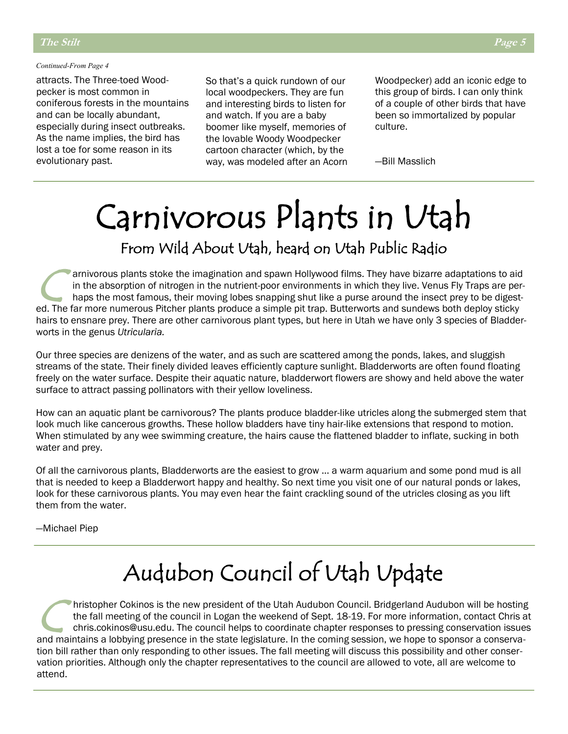### *Continued-From Page 4*

attracts. The Three-toed Woodpecker is most common in coniferous forests in the mountains and can be locally abundant, especially during insect outbreaks. As the name implies, the bird has lost a toe for some reason in its evolutionary past.

So that's a quick rundown of our local woodpeckers. They are fun and interesting birds to listen for and watch. If you are a baby boomer like myself, memories of the lovable Woody Woodpecker cartoon character (which, by the way, was modeled after an Acorn Woodpecker) add an iconic edge to this group of birds. I can only think of a couple of other birds that have been so immortalized by popular culture.

—Bill Masslich

## Carnivorous Plants in Utah From Wild About Utah, heard on Utah Public Radio

C arnivorous plants stoke the imagination and spawn Hollywood films. They have bizarre adaptations to aid in the absorption of nitrogen in the nutrient-poor environments in which they live. Venus Fly Traps are perhaps the most famous, their moving lobes snapping shut like a purse around the insect prey to be digested. The far more numerous Pitcher plants produce a simple pit trap. Butterworts and sundews both deploy sticky hairs to ensnare prey. There are other carnivorous plant types, but here in Utah we have only 3 species of Bladderworts in the genus *Utricularia.*

Our three species are denizens of the water, and as such are scattered among the ponds, lakes, and sluggish streams of the state. Their finely divided leaves efficiently capture sunlight. Bladderworts are often found floating freely on the water surface. Despite their aquatic nature, bladderwort flowers are showy and held above the water surface to attract passing pollinators with their yellow loveliness.

How can an aquatic plant be carnivorous? The plants produce bladder-like utricles along the submerged stem that look much like cancerous growths. These hollow bladders have tiny hair-like extensions that respond to motion. When stimulated by any wee swimming creature, the hairs cause the flattened bladder to inflate, sucking in both water and prey.

Of all the carnivorous plants, Bladderworts are the easiest to grow … a warm aquarium and some pond mud is all that is needed to keep a Bladderwort happy and healthy. So next time you visit one of our natural ponds or lakes, look for these carnivorous plants. You may even hear the faint crackling sound of the utricles closing as you lift them from the water.

—Michael Piep

### Audubon Council of Utah Update

C hristopher Cokinos is the new president of the Utah Audubon Council. Bridgerland Audubon will be hosting the fall meeting of the council in Logan the weekend of Sept. 18-19. For more information, contact Chris at chris.cokinos@usu.edu. The council helps to coordinate chapter responses to pressing conservation issues and maintains a lobbying presence in the state legislature. In the coming session, we hope to sponsor a conservation bill rather than only responding to other issues. The fall meeting will discuss this possibility and other conservation priorities. Although only the chapter representatives to the council are allowed to vote, all are welcome to attend.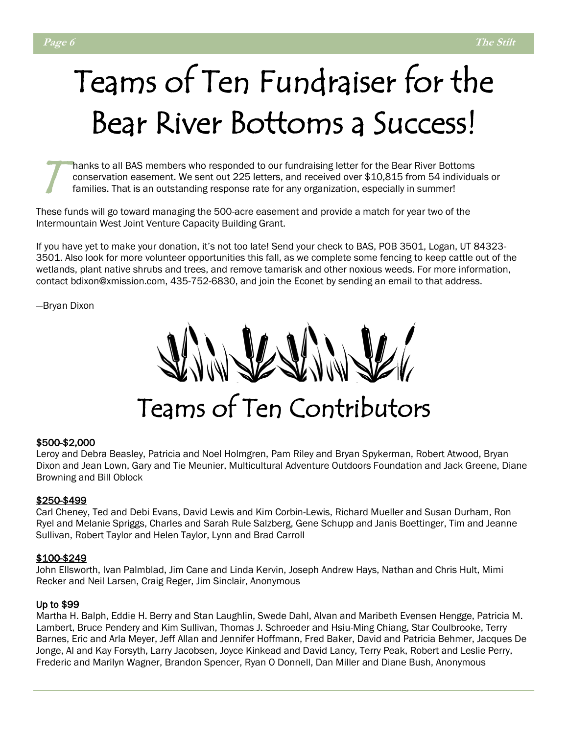## Teams of Ten Fundraiser for the Bear River Bottoms a Success!

T hanks to all BAS members who responded to our fundraising letter for the Bear River Bottoms conservation easement. We sent out 225 letters, and received over \$10,815 from 54 individuals or families. That is an outstanding response rate for any organization, especially in summer!

These funds will go toward managing the 500-acre easement and provide a match for year two of the Intermountain West Joint Venture Capacity Building Grant.

If you have yet to make your donation, it's not too late! Send your check to BAS, POB 3501, Logan, UT 84323- 3501. Also look for more volunteer opportunities this fall, as we complete some fencing to keep cattle out of the wetlands, plant native shrubs and trees, and remove tamarisk and other noxious weeds. For more information, contact bdixon@xmission.com, 435-752-6830, and join the Econet by sending an email to that address.

—Bryan Dixon

Teams of Ten Contributors

### \$500-\$2,000

Leroy and Debra Beasley, Patricia and Noel Holmgren, Pam Riley and Bryan Spykerman, Robert Atwood, Bryan Dixon and Jean Lown, Gary and Tie Meunier, Multicultural Adventure Outdoors Foundation and Jack Greene, Diane Browning and Bill Oblock

### \$250-\$499

Carl Cheney, Ted and Debi Evans, David Lewis and Kim Corbin-Lewis, Richard Mueller and Susan Durham, Ron Ryel and Melanie Spriggs, Charles and Sarah Rule Salzberg, Gene Schupp and Janis Boettinger, Tim and Jeanne Sullivan, Robert Taylor and Helen Taylor, Lynn and Brad Carroll

### \$100-\$249

John Ellsworth, Ivan Palmblad, Jim Cane and Linda Kervin, Joseph Andrew Hays, Nathan and Chris Hult, Mimi Recker and Neil Larsen, Craig Reger, Jim Sinclair, Anonymous

### Up to \$99

Martha H. Balph, Eddie H. Berry and Stan Laughlin, Swede Dahl, Alvan and Maribeth Evensen Hengge, Patricia M. Lambert, Bruce Pendery and Kim Sullivan, Thomas J. Schroeder and Hsiu-Ming Chiang, Star Coulbrooke, Terry Barnes, Eric and Arla Meyer, Jeff Allan and Jennifer Hoffmann, Fred Baker, David and Patricia Behmer, Jacques De Jonge, Al and Kay Forsyth, Larry Jacobsen, Joyce Kinkead and David Lancy, Terry Peak, Robert and Leslie Perry, Frederic and Marilyn Wagner, Brandon Spencer, Ryan O Donnell, Dan Miller and Diane Bush, Anonymous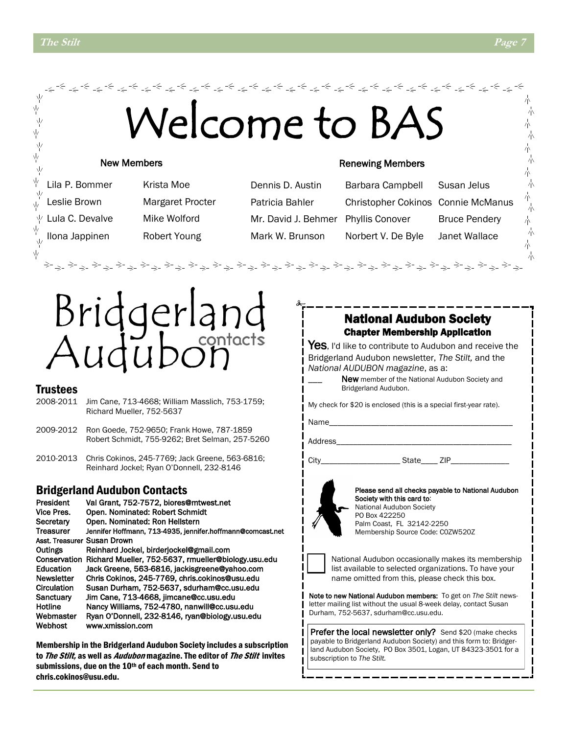#### المحاشون والمحاسبة والمحاسبة والمحاسبة والمحاسبة والمحاسبة والمحاسبة والمحاسبة والمحاسبة والمحاسبة والمحاسبة والمحاسبة Welcome to BA 业 木 业 赤 ψ 六 平 朩 γķ 六 New Members Renewing Members Ņγ 朩 六 Lila P. Bommer Krista Moe Dennis D. Austin Barbara Campbell Susan Jelus 木 Leslie Brown Margaret Procter Patricia Bahler Christopher Cokinos Connie McManus ψ Lula C. Devalve Mike Wolford Mr. David J. Behmer Phyllis Conover Bruce Pendery 赤 Mark W. Brunson Norbert V. De Byle Janet Wallace Ilona Jappinen Robert Young赤 ψ 小



### Trustees

- 2008-2011 Jim Cane, 713-4668; William Masslich, 753-1759; Richard Mueller, 752-5637
- 2009-2012 Ron Goede, 752-9650; Frank Howe, 787-1859 Robert Schmidt, 755-9262; Bret Selman, 257-5260
- 2010-2013 Chris Cokinos, 245-7769; Jack Greene, 563-6816; Reinhard Jockel; Ryan O'Donnell, 232-8146

### Bridgerland Audubon Contacts

President Val Grant, 752-7572, biores@mtwest.net<br>Vice Pres. Open. Nominated: Robert Schmidt Open. Nominated: Robert Schmidt Secretary Open. Nominated: Ron Hellstern Treasurer Jennifer Hoffmann, 713-4935, jennifer.hoffmann@comcast.net Asst. Treasurer Susan Drown Outings Reinhard Jockel, birderjockel@gmail.com Conservation Richard Mueller, 752-5637, rmueller@biology.usu.edu Education Jack Greene, 563-6816, jackisgreene@yahoo.com Newsletter Chris Cokinos, 245-7769, chris.cokinos@usu.edu Circulation Susan Durham, 752-5637, sdurham@cc.usu.edu Sanctuary Jim Cane, 713-4668, jimcane@cc.usu.edu Hotline Nancy Williams, 752-4780, nanwill@cc.usu.edu Webmaster Ryan O'Donnell, 232-8146, ryan@biology.usu.edu Webhost www.xmission.com

Membership in the Bridgerland Audubon Society includes a subscription to The Stilt, as well as *Audubon* magazine. The editor of The Stilt invites submissions, due on the 10<sup>th</sup> of each month. Send to chris.cokinos@usu.edu.

### National Audubon Society Chapter Membership Application

Yes, I'd like to contribute to Audubon and receive the Bridgerland Audubon newsletter, *The Stilt,* and the *National AUDUBON magazine*, as a:

> New member of the National Audubon Society and Bridgerland Audubon.

My check for \$20 is enclosed (this is a special first-year rate).

Name\_

Address

City\_\_\_\_\_\_\_\_\_\_\_\_\_\_\_\_\_\_\_ State\_\_\_\_ ZIP\_\_\_\_\_\_\_\_\_\_\_\_\_\_



Please send all checks payable to National Audubon Society with this card to: National Audubon Society PO Box 422250 Palm Coast, FL 32142-2250 Membership Source Code: C0ZW520Z



National Audubon occasionally makes its membership list available to selected organizations. To have your name omitted from this, please check this box.

Note to new National Audubon members: To get on *The Stilt* newsletter mailing list without the usual 8-week delay, contact Susan Durham, 752-5637, sdurham@cc.usu.edu.

Prefer the local newsletter only? Send \$20 (make checks payable to Bridgerland Audubon Society) and this form to: Bridgerland Audubon Society, PO Box 3501, Logan, UT 84323-3501 for a subscription to *The Stilt.*